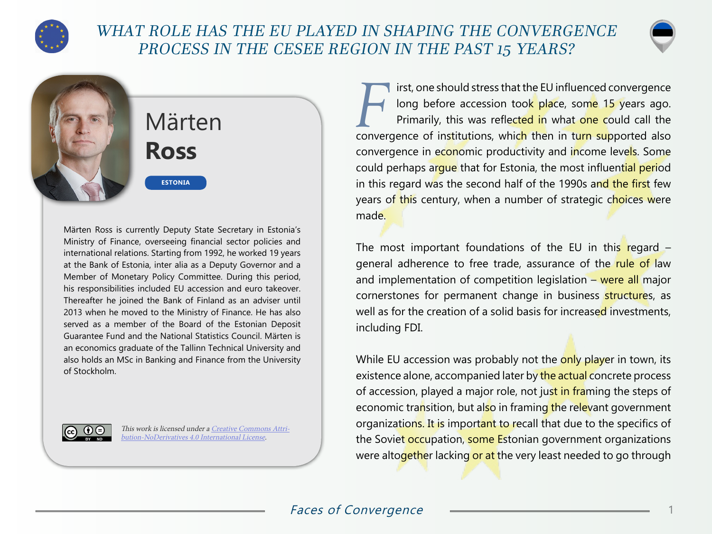

## WHAT ROLE HAS THE EU PLAYED IN SHAPING THE CONVERGENCE PROCESS IN THE CESEE REGION IN THE PAST 15 YEARS?



## Märten **Ross**

**ESTONIA**

Märten Ross is currently Deputy State Secretary in Estonia's Ministry of Finance, overseeing financial sector policies and international relations. Starting from 1992, he worked 19 years at the Bank of Estonia, inter alia as a Deputy Governor and a Member of Monetary Policy Committee. During this period, his responsibilities included EU accession and euro takeover. Thereafter he joined the Bank of Finland as an adviser until 2013 when he moved to the Ministry of Finance. He has also served as a member of the Board of the Estonian Deposit Guarantee Fund and the National Statistics Council. Märten is an economics graduate of the Tallinn Technical University and also holds an MSc in Banking and Finance from the University of Stockholm.



This work is licensed under a [Creative Commons Attri](https://creativecommons.org/licenses/by-nd/4.0/)[bution-NoDerivatives 4.0 International License](https://creativecommons.org/licenses/by-nd/4.0/).

First, one should stress that the EU influenced convergence<br>In the stress ion took place, some 15 years ago.<br>Primarily, this was reflected in what one could call the long before accession too<mark>k pla</mark>ce, som<mark>e 15</mark> years ago. Primarily, this was reflected in what one could call the convergence of institutions, which then in turn supported also convergence in economic productivity and income levels. Some could perhaps argue that for Estonia, the most influential period in this regard was the second half of the 1990s and the first few years of this century, when a number of strategic choices were made.

The most important foundations of the EU in this regard  $$ general adherence to free trade, assurance of the rule of law and implementation of competition legislation – were all major cornerstones for permanent change in business structures, as well as for the creation of a solid basis for increased investments, including FDI.

While EU accession was probably not the only player in town, its existence alone, accompanied later by the actual concrete process of accession, played a major role, not just in framing the steps of economic transition, but also in framing the relevant government organizations. It is important to recall that due to the specifics of the Soviet occupation, some Estonian government organizations were altogether lacking or at the very least needed to go through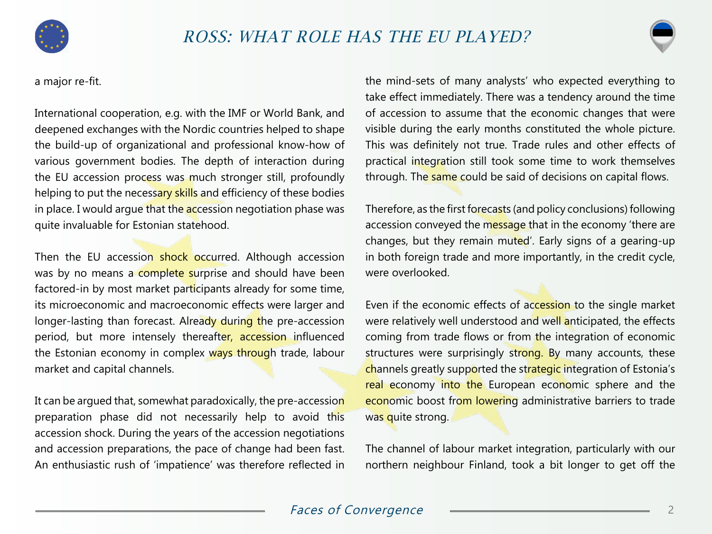



International cooperation, e.g. with the IMF or World Bank, and deepened exchanges with the Nordic countries helped to shape the build-up of organizational and professional know-how of various government bodies. The depth of interaction during the EU accession process was much stronger still, profoundly helping to put the necessary skills and efficiency of these bodies in place. I would argue that the accession negotiation phase was quite invaluable for Estonian statehood.

Then the EU accession shock occurred. Although accession was by no means a complete surprise and should have been factored-in by most market participants already for some time, its microeconomic and macroeconomic effects were larger and longer-lasting than forecast. Already during the pre-accession period, but more intensely thereafter, accession influenced the Estonian economy in complex ways through trade, labour market and capital channels.

It can be argued that, somewhat paradoxically, the pre-accession preparation phase did not necessarily help to avoid this accession shock. During the years of the accession negotiations and accession preparations, the pace of change had been fast. An enthusiastic rush of 'impatience' was therefore reflected in the mind-sets of many analysts' who expected everything to take effect immediately. There was a tendency around the time of accession to assume that the economic changes that were visible during the early months constituted the whole picture. This was definitely not true. Trade rules and other effects of practical integration still took some time to work themselves through. The same could be said of decisions on capital flows.

Therefore, as the first forecasts (and policy conclusions) following accession conveyed the message that in the economy 'there are changes, but they remain muted'. Early signs of a gearing-up in both foreign trade and more importantly, in the credit cycle, were overlooked.

Even if the economic effects of accession to the single market were relatively well understood and well anticipated, the effects coming from trade flows or from the integration of economic structures were surprisingly strong. By many accounts, these channels greatly supported the strategic integration of Estonia's real economy into the European economic sphere and the economic boost from lowering administrative barriers to trade was quite strong.

The channel of labour market integration, particularly with our northern neighbour Finland, took a bit longer to get off the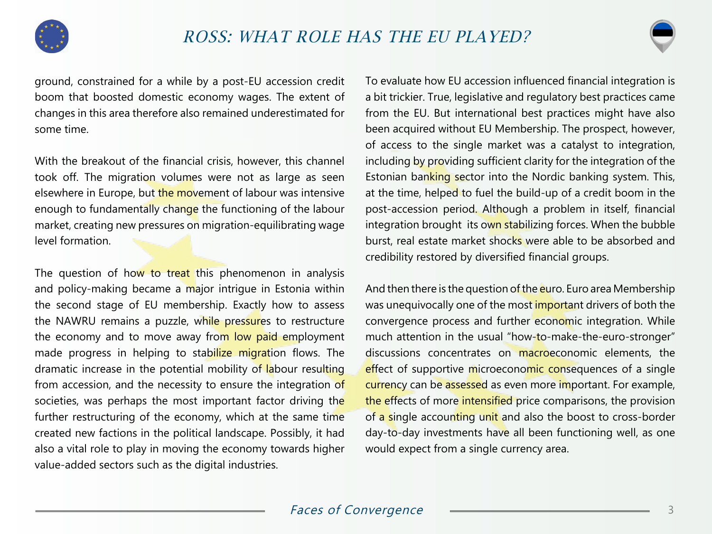



With the breakout of the financial crisis, however, this channel took off. The migration volumes were not as large as seen elsewhere in Europe, but the movement of labour was intensive enough to fundamentally change the functioning of the labour market, creating new pressures on migration-equilibrating wage level formation.

The question of how to treat this phenomenon in analysis and policy-making became a major intrigue in Estonia within the second stage of EU membership. Exactly how to assess the NAWRU remains a puzzle, while pressures to restructure the economy and to move away from low paid employment made progress in helping to stabilize migration flows. The dramatic increase in the potential mobility of labour resulting from accession, and the necessity to ensure the integration of societies, was perhaps the most important factor driving the further restructuring of the economy, which at the same time created new factions in the political landscape. Possibly, it had also a vital role to play in moving the economy towards higher value-added sectors such as the digital industries.

To evaluate how EU accession influenced financial integration is a bit trickier. True, legislative and regulatory best practices came from the EU. But international best practices might have also been acquired without EU Membership. The prospect, however, of access to the single market was a catalyst to integration, including by providing sufficient clarity for the integration of the Estonian banking sector into the Nordic banking system. This, at the time, helped to fuel the build-up of a credit boom in the post-accession period. Although a problem in itself, financial integration brought its own stabilizing forces. When the bubble burst, real estate market shocks were able to be absorbed and credibility restored by diversified financial groups.

And then there is the question of the euro. Euro area Membership was unequivocally one of the most important drivers of both the convergence process and further economic integration. While much attention in the usual "how-to-make-the-euro-stronger" discussions concentrates on macroeconomic elements, the effect of supportive microeconomic consequences of a single currency can be assessed as even more important. For example, the effects of more intensified price comparisons, the provision of a single accounting unit and also the boost to cross-border day-to-day investments have all been functioning well, as one would expect from a single currency area.